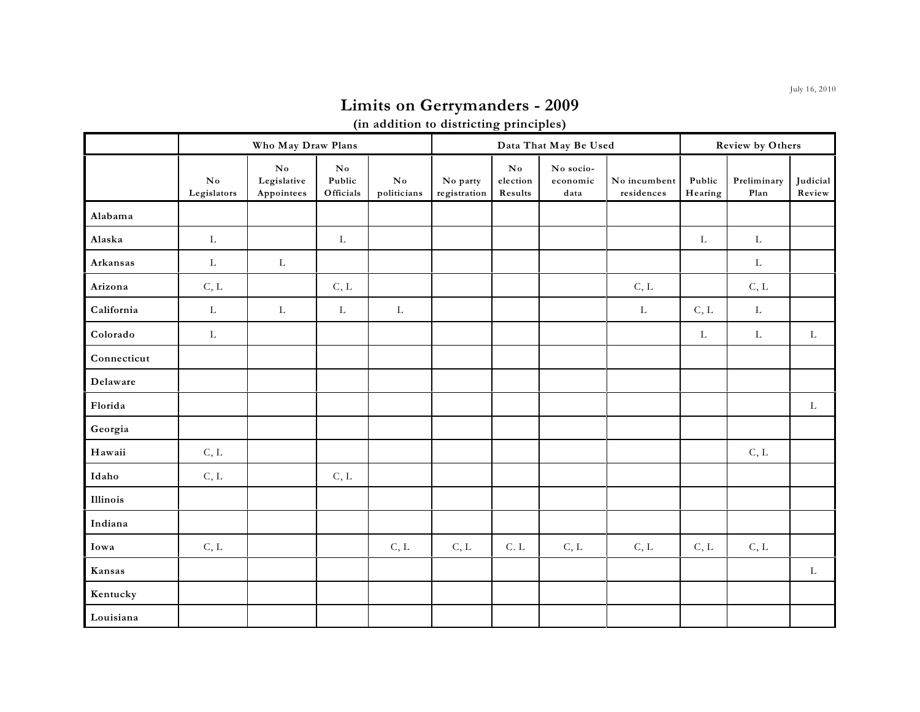## **Limits on Gerrymanders - 2009**

**(in addition to districting principles)**

|                 | Who May Draw Plans        |                                                     |                                       |                                       |                          |                                               | Data That May Be Used         | Review by Others           |                   |                     |                    |
|-----------------|---------------------------|-----------------------------------------------------|---------------------------------------|---------------------------------------|--------------------------|-----------------------------------------------|-------------------------------|----------------------------|-------------------|---------------------|--------------------|
|                 | ${\bf No}$<br>Legislators | $\mathbf{N}\mathbf{o}$<br>Legislative<br>Appointees | $\mathbf{N}$ o<br>Public<br>Officials | $\mathbf{N}\mathbf{o}$<br>politicians | No party<br>registration | $\mathbf{N}\mathbf{o}$<br>election<br>Results | No socio-<br>economic<br>data | No incumbent<br>residences | Public<br>Hearing | Preliminary<br>Plan | Judicial<br>Review |
| Alabama         |                           |                                                     |                                       |                                       |                          |                                               |                               |                            |                   |                     |                    |
| Alaska          | $\mathbf L$               |                                                     | $\mathbf L$                           |                                       |                          |                                               |                               |                            | $\mathbf L$       | $\mathbf L$         |                    |
| Arkansas        | $\mathbf L$               | $\mathbf L$                                         |                                       |                                       |                          |                                               |                               |                            |                   | $\mathbf L$         |                    |
| Arizona         | C, L                      |                                                     | C, L                                  |                                       |                          |                                               |                               | C, L                       |                   | C, L                |                    |
| California      | $\mathbf L$               | $\mathbf L$                                         | $\mathbf L$                           | $\mathbf L$                           |                          |                                               |                               | $\mathbf L$                | C, L              | $\mathbf L$         |                    |
| Colorado        | $\mathbf L$               |                                                     |                                       |                                       |                          |                                               |                               |                            | $\mathbf L$       | $\mathbf L$         | $\mathbf L$        |
| Connecticut     |                           |                                                     |                                       |                                       |                          |                                               |                               |                            |                   |                     |                    |
| Delaware        |                           |                                                     |                                       |                                       |                          |                                               |                               |                            |                   |                     |                    |
| Florida         |                           |                                                     |                                       |                                       |                          |                                               |                               |                            |                   |                     | $\mathbf L$        |
| Georgia         |                           |                                                     |                                       |                                       |                          |                                               |                               |                            |                   |                     |                    |
| ${\bf H}$ awaii | C, L                      |                                                     |                                       |                                       |                          |                                               |                               |                            |                   | C, L                |                    |
| Idaho           | C, L                      |                                                     | C, L                                  |                                       |                          |                                               |                               |                            |                   |                     |                    |
| Illinois        |                           |                                                     |                                       |                                       |                          |                                               |                               |                            |                   |                     |                    |
| Indiana         |                           |                                                     |                                       |                                       |                          |                                               |                               |                            |                   |                     |                    |
| Iowa            | C, L                      |                                                     |                                       | C, L                                  | C, L                     | C. L                                          | C, L                          | C, L                       | C, L              | C, L                |                    |
| Kansas          |                           |                                                     |                                       |                                       |                          |                                               |                               |                            |                   |                     | $\mathbf{L}$       |
| Kentucky        |                           |                                                     |                                       |                                       |                          |                                               |                               |                            |                   |                     |                    |
| Louisiana       |                           |                                                     |                                       |                                       |                          |                                               |                               |                            |                   |                     |                    |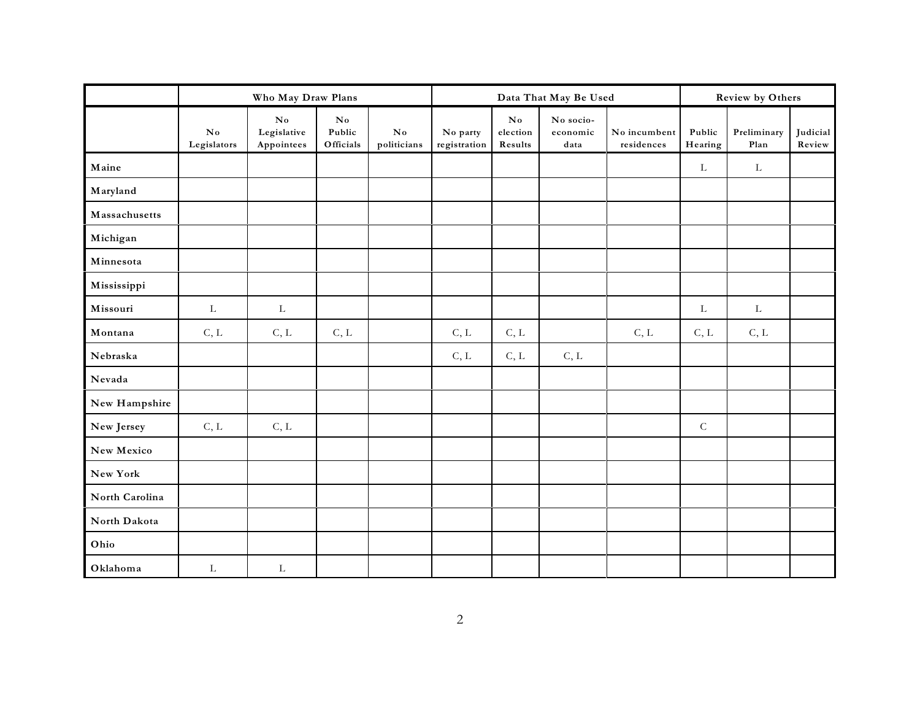|                | Who May Draw Plans      |                                                     |                                               |                                       |                          |                                               | Data That May Be Used         | <b>Review by Others</b>    |                   |                     |                    |
|----------------|-------------------------|-----------------------------------------------------|-----------------------------------------------|---------------------------------------|--------------------------|-----------------------------------------------|-------------------------------|----------------------------|-------------------|---------------------|--------------------|
|                | $\bf No$<br>Legislators | $\mathbf{N}\mathbf{o}$<br>Legislative<br>Appointees | $\mathbf{N}\mathbf{o}$<br>Public<br>Officials | $\mathbf{N}\mathbf{o}$<br>politicians | No party<br>registration | $\mathbf{N}\mathbf{o}$<br>election<br>Results | No socio-<br>economic<br>data | No incumbent<br>residences | Public<br>Hearing | Preliminary<br>Plan | Judicial<br>Review |
| Maine          |                         |                                                     |                                               |                                       |                          |                                               |                               |                            | L                 | $\mathbf L$         |                    |
| Maryland       |                         |                                                     |                                               |                                       |                          |                                               |                               |                            |                   |                     |                    |
| Massachusetts  |                         |                                                     |                                               |                                       |                          |                                               |                               |                            |                   |                     |                    |
| Michigan       |                         |                                                     |                                               |                                       |                          |                                               |                               |                            |                   |                     |                    |
| Minnesota      |                         |                                                     |                                               |                                       |                          |                                               |                               |                            |                   |                     |                    |
| Mississippi    |                         |                                                     |                                               |                                       |                          |                                               |                               |                            |                   |                     |                    |
| Missouri       | L                       | L                                                   |                                               |                                       |                          |                                               |                               |                            | L                 | $\Gamma$            |                    |
| Montana        | C, L                    | C, L                                                | C, L                                          |                                       | C, L                     | C, L                                          |                               | C, L                       | C, L              | C, L                |                    |
| Nebraska       |                         |                                                     |                                               |                                       | C, L                     | C, L                                          | C, L                          |                            |                   |                     |                    |
| Nevada         |                         |                                                     |                                               |                                       |                          |                                               |                               |                            |                   |                     |                    |
| New Hampshire  |                         |                                                     |                                               |                                       |                          |                                               |                               |                            |                   |                     |                    |
| New Jersey     | C, L                    | C, L                                                |                                               |                                       |                          |                                               |                               |                            | ${\bf C}$         |                     |                    |
| New Mexico     |                         |                                                     |                                               |                                       |                          |                                               |                               |                            |                   |                     |                    |
| New York       |                         |                                                     |                                               |                                       |                          |                                               |                               |                            |                   |                     |                    |
| North Carolina |                         |                                                     |                                               |                                       |                          |                                               |                               |                            |                   |                     |                    |
| North Dakota   |                         |                                                     |                                               |                                       |                          |                                               |                               |                            |                   |                     |                    |
| Ohio           |                         |                                                     |                                               |                                       |                          |                                               |                               |                            |                   |                     |                    |
| Oklahoma       | L                       | $\mathbf L$                                         |                                               |                                       |                          |                                               |                               |                            |                   |                     |                    |